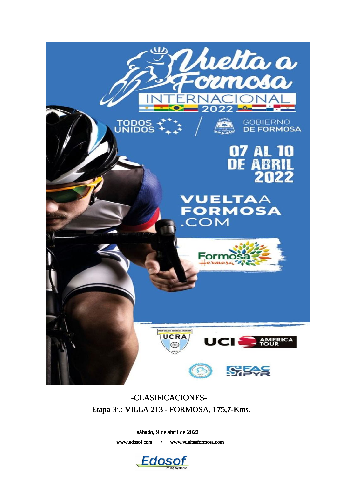

## -CLASIFICACIONES-Etapa 3ª.: VILLA 213 - FORMOSA, 175,7-Kms.

sábado, 9 de abril de 2022

www.edosof.com / www.vueltaaformosa.com

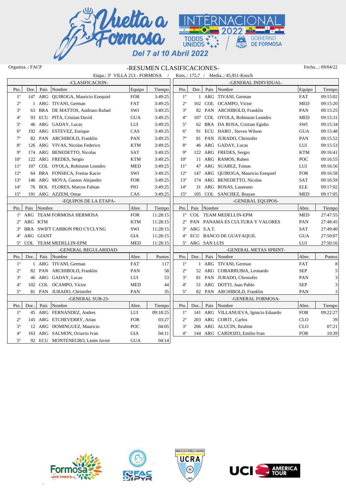

## Organiza..: FACP -RESUMEN CLASIFICACIONES- Fecha...: 09/04/22

|              |                       |             | Etapa.: 3ª VILLA 213 - FORMOSA /   |                      |          |                 |      |                 | Kms.: 175,7 / Media: 45,951-Kms/h   |            |          |
|--------------|-----------------------|-------------|------------------------------------|----------------------|----------|-----------------|------|-----------------|-------------------------------------|------------|----------|
|              |                       |             | -CLASIFICACION-                    |                      |          |                 |      |                 | -GENERAL INDIVIDUAL-                |            |          |
| Pto.         | Dor.                  | Pais        | Nombre                             | Equipo               | Tiempo   | Pto.            | Dor. |                 | Pais Nombre                         | Equipo     | Tiempo   |
| $1^{\circ}$  |                       |             | 147 ARG QUIROGA, Mauricio Ezequiel | ${\rm FOR}$          | 3:49:25  | $1^{\circ}$     |      |                 | 1 ARG TIVANI, German                | <b>FAT</b> | 09:15:02 |
| $2^{\circ}$  |                       |             | 1 ARG TIVANI, German               | <b>FAT</b>           | 3:49:25  | $2^{\circ}$     | 102  |                 | COL OCAMPO, Víctor                  | <b>MED</b> | 09:15:20 |
| $3^{\circ}$  |                       |             | 63 BRA DE MATTOS, Andriato Rafael  | SWI                  | 3:49:25  | $3^{\circ}$     |      |                 | 82 PAN ARCHIBOLD, Franklin          | PAN        | 09:15:25 |
| $4^{\circ}$  |                       |             | 93 ECU PITA, Cristian David        | <b>GUA</b>           | 3:49:25  | $4^{\circ}$     | 107  |                 | COL OYOLA, Robinzon Leandro         | <b>MED</b> | 09:15:31 |
| $5^{\circ}$  |                       |             | 46 ARG GADAY, Lucas                | LUI                  | 3:49:25  | $5^{\circ}$     |      |                 | 62 BRA DA ROSA, Cristian Egidio     | SWI        | 09:15:34 |
| $6^{\circ}$  |                       |             | 192 ARG ESTEVEZ, Enrique           | CAS                  | 3:49:25  | $6^{\circ}$     |      |                 | 91 ECU HARO, Steven Wilson          | <b>GUA</b> | 09:15:48 |
| $7^{\circ}$  |                       |             | 82 PAN ARCHIBOLD, Franklin         | PAN                  | 3:49:25  | $7^{\circ}$     |      |                 | 81 PAN JURADO, Christofer           | PAN        | 09:15:52 |
| $8^{\circ}$  |                       |             | 126 ARG VIVAS, Nicolas Federico    | <b>KTM</b>           | 3:49:25  | $8^{\rm o}$     |      |                 | 46 ARG GADAY, Lucas                 | LUI        | 09:15:53 |
| $9^{\circ}$  |                       |             | 174 ARG BENEDETTO, Nicolas         | SAT                  | 3:49:25  | $9^{\circ}$     |      |                 | 122 ARG FREDES, Sergio              | <b>KTM</b> | 09:16:41 |
| $10^{\circ}$ |                       |             | 122 ARG FREDES, Sergio             | $\operatorname{KTM}$ | 3:49:25  | 10 <sup>o</sup> |      |                 | 11 ARG RAMOS, Ruben                 | POC        | 09:16:55 |
| $11^{\circ}$ |                       |             | 107 COL OYOLA, Robinzon Leandro    | <b>MED</b>           | 3:49:25  | $11^{\circ}$    |      |                 | 47 ARG SUAREZ, Tomas                | LUI        | 09:16:56 |
| $12^{\circ}$ |                       |             | 64 BRA FONSECA, Freitas Kacio      | SWI                  | 3:49:25  | $12^{\circ}$    |      |                 | 147 ARG QUIROGA, Mauricio Ezequiel  | <b>FOR</b> | 09:16:58 |
| $13^{\circ}$ |                       |             | 146 ARG MOYA, Gaston Alejandro     | <b>FOR</b>           | 3:49:25  | 13 <sup>°</sup> |      |                 | 174 ARG BENEDETTO, Nicolas          | <b>SAT</b> | 09:16:59 |
| $14^{\circ}$ |                       |             | 76 BOL FLORES, Marcos Fabian       | <b>PIO</b>           | 3:49:25  | $14^{\circ}$    |      |                 | 31 ARG ROSAS, Laureano              | <b>ELE</b> | 09:17:02 |
| $15^{\circ}$ |                       |             | 191 ARG AZZEM, Omar                | CAS                  | 3:49:25  | $15^{\circ}$    | 105  |                 | COL SANCHEZ, Brayan                 | <b>MED</b> | 09:17:05 |
|              | -EOUIPOS DE LA ETAPA- |             |                                    |                      |          |                 |      |                 | -GENERAL EQUIPOS-                   |            |          |
| Pto.         |                       | Pais Nombre |                                    | Abre.                | Tiempo   | Pto.            | Pais | Nombre          |                                     | Abre.      | Tiempo   |
|              |                       |             | 1º ARG TEAM FORMOSA HERMOSA        | ${\rm FOR}$          | 11:28:15 |                 |      |                 | 1º COL TEAM MEDELLIN-EPM            | <b>MED</b> | 27:47:55 |
| $2^{\circ}$  | ARG KTM               |             |                                    | $\operatorname{KTM}$ | 11:28:15 |                 |      |                 | 2º PAN PANAMA ES CULTURA Y VALORES  | PAN        | 27:48:45 |
| $3^{\circ}$  |                       |             | BRA SWIFT CARBON PRO CYCLYNG       | SWI                  | 11:28:15 | $3^{\circ}$     |      | ARG S.A.T.      |                                     | <b>SAT</b> | 27:49:40 |
| $4^{\circ}$  | ARG GIANT             |             |                                    | $\rm GIA$            | 11:28:15 | $4^{\circ}$     |      |                 | ECU BANCO DE GUAYAQUIL              | $\rm GUA$  | 27:50:07 |
| $5^{\circ}$  |                       |             | COL TEAM MEDELLIN-EPM              | <b>MED</b>           | 11:28:15 |                 |      | 5° ARG SAN LUIS |                                     | LUI        | 27:50:16 |
|              |                       |             | -GENERAL REGULARIDAD-              |                      |          |                 |      |                 | -GENERAL METAS SPRINT-              |            |          |
| Pto.         | Dor                   | Pais        | Nombre                             | Abre.                | Puntos   | Pto.            | Dor  | Pais            | Nombre                              | Abre.      | Puntos   |
| $1^{\circ}$  |                       |             | 1 ARG TIVANI, German               | <b>FAT</b>           | 117      | $1^{\circ}$     |      |                 | 1 ARG TIVANI, German                | <b>FAT</b> | $\,8\,$  |
| $2^{\circ}$  |                       |             | 82 PAN ARCHIBOLD, Franklin         | PAN                  | 58       | $2^{\circ}$     |      |                 | 52 ARG COBARRUBIA, Leonardo         | <b>SEP</b> | 5        |
| $3^{\circ}$  |                       |             | 46 ARG GADAY, Lucas                | LUI                  | 53       | $3^{\circ}$     |      |                 | 81 PAN JURADO, Christofer           | PAN        | 3        |
| $4^{\circ}$  |                       |             | 102 COL OCAMPO, Víctor             | <b>MED</b>           | 44       | $4^{\circ}$     |      |                 | 51 ARG DOTTI, Juan Pablo            | <b>SEP</b> | 3        |
| $5^{\circ}$  |                       |             | 81 PAN JURADO, Christofer          | PAN                  | 35       | $5^{\circ}$     | 82   |                 | PAN ARCHIBOLD, Franklin             | PAN        | 3        |
|              |                       |             | -GENERAL SUB-23-                   |                      |          |                 |      |                 | -GENERAL FORMOSA-                   |            |          |
| Pto.         | Dor                   | Pais        | Nombre                             | Abre.                | Tiempo   | Pto.            | Dor  |                 | Pais Nombre                         | Abre.      | Tiempo   |
| $1^{\circ}$  |                       |             | 45 ARG FERNANDEZ, Andres           | LUI                  | 09:18:25 | $1^{\circ}$     |      |                 | 141 ARG VILLANUEVA, Ignacio Eduardo | <b>FOR</b> | 09:22:27 |
| $2^{\circ}$  |                       |             | 145 ARG ETCHEVERRY, Arian          | <b>FOR</b>           | 03:27    | $2^{\circ}$     |      |                 | 203 ARG CORTI, Carlos               | <b>CLO</b> | 39       |
| $3^{\circ}$  |                       |             | 12 ARG DOMINGUEZ, Mauricio         | POC                  | 04:05    | $3^{\circ}$     |      |                 | 206 ARG ALUCIN, Ibrahim             | <b>CLO</b> | 07:21    |
| $4^{\circ}$  |                       |             | 163 ARG SALMON, Octavio Ivan       | <b>GIA</b>           | 04:11    | $4^{\circ}$     |      |                 | 144 ARG CARDOZO, Emilio Ivan        | <b>FOR</b> | 10:39    |
| $5^{\circ}$  |                       |             | 92 ECU MONTENEGRO, Lenin Javier    | <b>GUA</b>           | 04:14    |                 |      |                 |                                     |            |          |







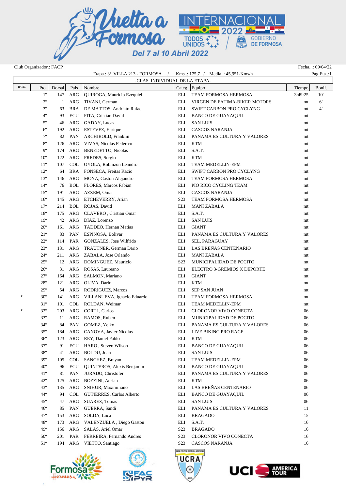

Club Organizador.: FACP Fecha...: 09/04/22

|           |                            |           |            |                                         |                                | Etapa.: 3 <sup>ª</sup> VILLA 213 - FORMOSA / Kms: 175,7 / Media: 45,951-Kms/h |          | Pag.Eta:1 |
|-----------|----------------------------|-----------|------------|-----------------------------------------|--------------------------------|-------------------------------------------------------------------------------|----------|-----------|
| $R/P/E$ . |                            |           |            |                                         | -CLAS. INDIVIDUAL DE LA ETAPA- |                                                                               |          |           |
|           | Pto.                       | Dorsal    | Pais       | Nombre                                  |                                | Categ Equipo                                                                  | Tiempo   | Bonif.    |
|           | $1^{\circ}$                | 147       | ARG        | QUIROGA, Mauricio Ezequiel              | ELI                            | TEAM FORMOSA HERMOSA                                                          | 3:49:25  | 10"       |
|           | $2^{\circ}$                | 1         | ARG        | TIVANI, German                          | ELI                            | VIRGEN DE FATIMA-BIKER MOTORS                                                 | mt       | 6"        |
|           | $3^{\circ}$<br>$4^{\circ}$ | 63        | BRA<br>ECU | DE MATTOS, Andriato Rafael              | ELI<br>ELI                     | SWIFT CARBON PRO CYCLYNG                                                      | mt       | 4"        |
|           | $5^{\circ}$                | 93        | ARG        | PITA, Cristian David                    | ELI                            | <b>BANCO DE GUAYAQUIL</b>                                                     | mt       |           |
|           | $6^{\circ}$                | 46        |            | GADAY, Lucas                            | ELI                            | <b>SAN LUIS</b><br><b>CASCOS NARANJA</b>                                      | mt       |           |
|           | $7^{\circ}$                | 192<br>82 | ARG<br>PAN | ESTEVEZ, Enrique<br>ARCHIBOLD, Franklin | ELI                            | PANAMA ES CULTURA Y VALORES                                                   | mt       |           |
|           | $8^{\circ}$                | 126       | ARG        | VIVAS, Nicolas Federico                 | ELI                            | <b>KTM</b>                                                                    | mt       |           |
|           | $9^{\circ}$                | 174       | ARG        | BENEDETTO, Nicolas                      | ELI                            | S.A.T.                                                                        | mt<br>mt |           |
|           | $10^{\circ}$               | 122       | ARG        | FREDES, Sergio                          | ELI                            | <b>KTM</b>                                                                    | mt       |           |
|           | $11^{\circ}$               | 107       | COL        | OYOLA, Robinzon Leandro                 | ELI                            | TEAM MEDELLIN-EPM                                                             | mt       |           |
|           | $12^{\circ}$               | 64        |            | BRA FONSECA, Freitas Kacio              | ELI                            | SWIFT CARBON PRO CYCLYNG                                                      | mt       |           |
|           | $13^{\circ}$               | 146       | ARG        | MOYA, Gaston Alejandro                  | ELI                            | TEAM FORMOSA HERMOSA                                                          | mt       |           |
|           | $14^{\circ}$               | 76        |            | <b>BOL</b> FLORES, Marcos Fabian        | ELI                            | PIO RICO CYCLING TEAM                                                         | mt       |           |
|           | $15^{\circ}$               | 191       | ARG        | AZZEM, Omar                             | ELI                            | CASCOS NARANJA                                                                | mt       |           |
|           | $16^{\circ}$               | 145       | ARG        | ETCHEVERRY, Arian                       | S <sub>2</sub> 3               | TEAM FORMOSA HERMOSA                                                          | mt       |           |
|           | $17^{\circ}$               | 214       | BOL        | ROJAS, David                            | ELI                            | <b>MANI ZABALA</b>                                                            | mt       |           |
|           | $18^{\circ}$               | 175       | ARG        | CLAVERO, Cristian Omar                  | ELI                            | S.A.T.                                                                        | mt       |           |
|           | $19^\circ$                 | 42        | ARG        | DIAZ, Lorenzo                           | ELI                            | <b>SAN LUIS</b>                                                               | mt       |           |
|           | $20^{\circ}$               | 161       | ARG        | TADDEO, Hernan Matias                   | ELI                            | <b>GIANT</b>                                                                  | mt       |           |
|           | $21^{\circ}$               | 83        | PAN        | ESPINOSA, Bolivar                       | ELI                            | PANAMA ES CULTURA Y VALORES                                                   | mt       |           |
|           | $22^{\circ}$               | 114       | PAR        | GONZALES, Jose Wilfrido                 | ELI                            | SEL. PARAGUAY                                                                 | mt       |           |
|           | $23^{\circ}$               | 131       | ARG        | TRAUTNER, German Dario                  | ELI                            | LAS BREÑAS CENTENARIO                                                         | mt       |           |
|           | $24^{\circ}$               | 211       | ARG        | ZABALA, Jose Orlando                    | ELI                            | <b>MANI ZABALA</b>                                                            | mt       |           |
|           | $25^{\circ}$               |           | 12 ARG     | DOMINGUEZ, Mauricio                     | S <sub>2</sub> 3               | MUNICIPALIDAD DE POCITO                                                       | mt       |           |
|           | $26^{\circ}$               | 31        | ARG        | ROSAS, Laureano                         | ELI                            | ELECTRO 3-GREMIOS X DEPORTE                                                   | mt       |           |
|           | $27^{\circ}$               | 164       | ARG        | SALMON, Mariano                         | ELI                            | <b>GIANT</b>                                                                  | mt       |           |
|           | $28^{\circ}$               | 121       | ARG        | OLIVA, Dario                            | ELI                            | <b>KTM</b>                                                                    | mt       |           |
|           | $29^\circ$                 | 54        | ARG        | RODRIGUEZ, Marcos                       | ELI                            | <b>SEP SAN JUAN</b>                                                           | mt       |           |
| F         | $30^\circ$                 | 141       | ARG        | VILLANUEVA, Ignacio Eduardo             | ELI                            | TEAM FORMOSA HERMOSA                                                          | mt       |           |
|           | $31^\circ$                 | 101       | COL        | ROLDAN, Weimar                          | ELI                            | TEAM MEDELLIN-EPM                                                             | mt       |           |
| F         | $32^{\circ}$               | 203       | ARG        | CORTI, Carlos                           | ELI                            | CLORONOR VIVO CONECTA                                                         | 06       |           |
|           | $33^{\circ}$               | 11        | ARG        | RAMOS, Ruben                            | ELI                            | MUNICIPALIDAD DE POCITO                                                       | 06       |           |
|           | $34^\circ$                 | 84        | PAN        | GOMEZ, Yelko                            | ELI                            | PANAMA ES CULTURA Y VALORES                                                   | 06       |           |
|           | $35^{\circ}$               | 184       | ARG        | CANOVA, Javier Nicolas                  | <b>ELI</b>                     | LIVE BIKING PRO RACE                                                          | 06       |           |
|           | $36^{\circ}$               | 123       | ARG        | REY, Daniel Pablo                       | ELI                            | <b>KTM</b>                                                                    | 06       |           |
|           | $37^\circ$                 | 91        | <b>ECU</b> | HARO, Steven Wilson                     | ELI                            | <b>BANCO DE GUAYAQUIL</b>                                                     | 06       |           |
|           | $38^{\circ}$               | 41        | ARG        | BOLDU, Juan                             | ELI                            | <b>SAN LUIS</b>                                                               | 06       |           |
|           | $39^\circ$                 | 105       | COL        | SANCHEZ, Brayan                         | ELI                            | TEAM MEDELLIN-EPM                                                             | 06       |           |
|           | $40^{\circ}$               | 96        | ECU        | QUINTEROS, Alexis Benjamin              | ELI                            | <b>BANCO DE GUAYAQUIL</b>                                                     | 06       |           |
|           | $41^{\circ}$               | 81        | PAN        | JURADO, Christofer                      | ELI                            | PANAMA ES CULTURA Y VALORES                                                   | 06       |           |
|           | $42^{\circ}$               | 125       | ARG        | BOZZINI, Adrian                         | ELI                            | <b>KTM</b>                                                                    | 06       |           |
|           | $43^\circ$                 | 135       | ARG        | SNIHUR, Maximiliano                     | ELI                            | LAS BREÑAS CENTENARIO                                                         | 06       |           |
|           | $44^\circ$                 | 94        | COL        | GUTIERRES, Carlos Alberto               | ELI                            | <b>BANCO DE GUAYAQUIL</b>                                                     | 06       |           |
|           | $45^{\circ}$               | 47        | ARG        | SUAREZ, Tomas                           | ELI                            | <b>SAN LUIS</b>                                                               | 06       |           |
|           | $46^{\circ}$               | 85        | PAN        | GUERRA, Sandi                           | ELI                            | PANAMA ES CULTURA Y VALORES                                                   | 11       |           |
|           | $47^\circ$                 | 153       | ARG        | SOLDA, Luca                             | ELI                            | <b>BRAGADO</b>                                                                | 15       |           |
|           | $48^{\circ}$               | 173       | ARG        | VALENZUELA, Diego Gaston                | ELI                            | S.A.T.                                                                        | 16       |           |
|           | $49^\circ$                 | 156       | ARG        | SALAS, Ariel Omar                       | S <sub>2</sub> 3               | <b>BRAGADO</b>                                                                | 16       |           |
|           | $50^{\circ}$               | 201       | PAR        | FERREIRA, Fernando Andres               | S <sub>2</sub> 3               | CLORONOR VIVO CONECTA                                                         | 16       |           |
|           | $51^\circ$                 | 194       | ARG        | VIETTO, Santiago                        | S <sub>2</sub> 3               | CASCOS NARANJA                                                                | 16       |           |
|           |                            |           |            |                                         |                                | NON CICLISTA REPÚBLICA ARGENTINA                                              |          |           |



×



UCRA

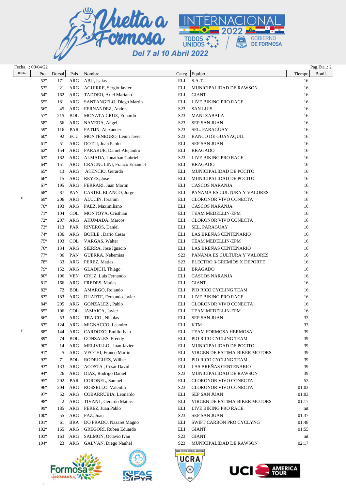

|             | Fecha: 09/04/22 |        |            |                                   |                  |                                         |        | Pag.Eta: 2 |
|-------------|-----------------|--------|------------|-----------------------------------|------------------|-----------------------------------------|--------|------------|
| $R/P/E$ .   | Pto.            | Dorsal | Pais       | Nombre                            | Categ            | Equipo                                  | Tiempo | Bonif.     |
|             | $52^{\circ}$    | 171    | ARG        | ABU, Isaias                       | ELI              | S.A.T.                                  | 16     |            |
|             | $53^{\circ}$    | 21     | ARG        | AGUIRRE, Sergio Javier            | ELI              | MUNICIPALIDAD DE RAWSON                 | 16     |            |
|             | $54^\circ$      | 162    | ARG        | TADDEO, Ariel Mariano             | ELI              | <b>GIANT</b>                            | 16     |            |
|             | $55^{\circ}$    | 181    | ARG        | SANTANGELO, Diego Martin          | ELI              | LIVE BIKING PRO RACE                    | 16     |            |
|             | $56^{\circ}$    | 45     | ARG        | FERNANDEZ, Andres                 | S <sub>2</sub> 3 | <b>SAN LUIS</b>                         | 16     |            |
|             | $57^\circ$      | 215    | <b>BOL</b> | MOYATA CRUZ, Eduardo              | S <sub>2</sub> 3 | <b>MANI ZABALA</b>                      | 16     |            |
|             | 58°             | 56     | ARG        | NAVEDA, Angel                     | S <sub>2</sub> 3 | <b>SEP SAN JUAN</b>                     | 16     |            |
|             | $59^\circ$      | 116    | PAR        | PATIJN, Alexander                 | S <sub>2</sub> 3 | <b>SEL. PARAGUAY</b>                    | 16     |            |
|             | $60^\circ$      | 92     | ECU        | MONTENEGRO, Lenin Javier          | S <sub>23</sub>  | <b>BANCO DE GUAYAQUIL</b>               | 16     |            |
|             | $61^\circ$      | 51     | ARG        | DOTTI, Juan Pablo                 | ELI              | <b>SEP SAN JUAN</b>                     | 16     |            |
|             | $62^{\circ}$    | 154    | ARG        | PARABUE, Daniel Alejandro         | ELI              | <b>BRAGADO</b>                          | 16     |            |
|             | $63^\circ$      | 182    | ARG        | ALMADA, Jonathan Gabriel          | S <sub>2</sub> 3 | LIVE BIKING PRO RACE                    | 16     |            |
|             | $64^\circ$      | 151    | ARG        | <b>CRAGNULINI, Franco Emanuel</b> | ELI              | <b>BRAGADO</b>                          | 16     |            |
|             | $65^{\circ}$    | 13     | <b>ARG</b> | ATENCIO, Gerardo                  | ELI              | MUNICIPALIDAD DE POCITO                 | 16     |            |
|             | $66^{\circ}$    | 15     | ARG        | REYES, Jose                       | ELI              | MUNICIPALIDAD DE POCITO                 | 16     |            |
|             | $67^\circ$      | 195    | ARG        | FERRARI, Juan Martin              | ELI              | CASCOS NARANJA                          | 16     |            |
|             | $68^{\circ}$    | 87     | <b>PAN</b> | CASTEL BLANCO, Jorge              | ELI              | PANAMA ES CULTURA Y VALORES             | 16     |            |
| $\mathbb F$ | $69^\circ$      | 206    | ARG        | ALUCIN, Ibrahim                   | ELI              | CLORONOR VIVO CONECTA                   | 16     |            |
|             | $70^{\circ}$    | 193    | ARG        | PAEZ, Maximiliano                 | ELI              | CASCOS NARANJA                          | 16     |            |
|             | $71^\circ$      | 104    | <b>COL</b> | MONTOYA, Cristhian                | ELI              | TEAM MEDELLIN-EPM                       | 16     |            |
|             | $72^{\circ}$    | 207    | ARG        | AHUMADA, Marcos                   | ELI              | <b>CLORONOR VIVO CONECTA</b>            | 16     |            |
|             | $73^\circ$      | 113    | PAR        | RIVEROS, Daniel                   | ELI              | <b>SEL. PARAGUAY</b>                    | 16     |            |
|             | $74^\circ$      | 136    | ARG        | BOHLE, Dario Cesar                | ELI              | LAS BREÑAS CENTENARIO                   | 16     |            |
|             | $75^{\circ}$    | 103    | <b>COL</b> | VARGAS, Walter                    | ELI              | TEAM MEDELLIN-EPM                       | 16     |            |
|             | $76^{\circ}$    | 134    | ARG        | SIERRA, Jose Ignacio              | ELI              | LAS BREÑAS CENTENARIO                   | 16     |            |
|             | $77^{\circ}$    | 86     | PAN        | GUERRA, Nehemias                  | S <sub>2</sub> 3 | PANAMA ES CULTURA Y VALORES             | 16     |            |
|             | $78^{\circ}$    | 33     | ARG        | PEREZ, Matías                     | S <sub>2</sub> 3 | ELECTRO 3-GREMIOS X DEPORTE             | 16     |            |
|             | $79^\circ$      | 152    | ARG        | GLADICH, Thiago                   | ELI              | <b>BRAGADO</b>                          | 16     |            |
|             | $80^\circ$      | 196    | <b>VEN</b> | CRUZ, Luis Fernando               | ELI              | CASCOS NARANJA                          | 16     |            |
|             | 81°             | 166    | ARG        | FREDES, Matias                    | ELI              | <b>GIANT</b>                            | 16     |            |
|             | $82^{\circ}$    | 72     | <b>BOL</b> | AMARGO, Rolando                   | ELI              | PIO RICO CYCLING TEAM                   | 16     |            |
|             | $83^\circ$      | 183    | ARG        | DUARTE, Fernando Javier           | ELI              | LIVE BIKING PRO RACE                    | 16     |            |
|             | $84^{\circ}$    | 205    | ARG        | GONZALEZ, Pablo                   | ELI              | CLORONOR VIVO CONECTA                   | 16     |            |
|             | $85^{\circ}$    | 106    | <b>COL</b> | JAMAICA, Javier                   | ELI              | TEAM MEDELLIN-EPM                       | 16     |            |
|             | $86^{\circ}$    | 53     | ARG        | TRAICO, Nicolas                   | ELI              | <b>SEP SAN JUAN</b>                     | 33     |            |
|             | $87^\circ$      | 124    |            | ARG MIGNACCO, Leandro             | ELI              | <b>KTM</b>                              | 33     |            |
| $\mathbf F$ | 88°             | 144    | ARG        | CARDOZO, Emilio Ivan              | ELI              | TEAM FORMOSA HERMOSA                    | 39     |            |
|             | $89^\circ$      | 74     | <b>BOL</b> | <b>GONZALES, Freddy</b>           | <b>ELI</b>       | PIO RICO CYCLING TEAM                   | 39     |            |
|             | $90^\circ$      | 14     | ARG        | MELIVILLO, Juan Javier            | ELI              | MUNICIPALIDAD DE POCITO                 | 39     |            |
|             | $91^\circ$      | 5      | ARG        | VECCHI, Franco Martin             | ELI              | VIRGEN DE FATIMA-BIKER MOTORS           | 39     |            |
|             | $92^{\circ}$    | 71     | <b>BOL</b> | RODRIGUEZ, Wilber                 | ELI              | PIO RICO CYCLING TEAM                   | 39     |            |
|             | $93^\circ$      | 133    | ARG        | ACOSTA, Cesar David               | ELI              | LAS BREÑAS CENTENARIO                   | 39     |            |
|             | $94^\circ$      | 26     | ARG        | DIAZ, Rodrigo Daniel              | S <sub>2</sub> 3 | MUNICIPALIDAD DE RAWSON                 | 39     |            |
|             | $95^\circ$      | 202    | PAR        | CORONEL, Samuel                   | ELI              | CLORONOR VIVO CONECTA                   | 52     |            |
|             | $96^{\circ}$    | 204    | ARG        | ROSSELLO, Valentín                | S <sub>2</sub> 3 | CLORONOR VIVO CONECTA                   | 01:03  |            |
|             | $97^\circ$      | 52     | ARG        | COBARRUBIA, Leonardo              | ELI              | <b>SEP SAN JUAN</b>                     | 01:03  |            |
|             | 98°             | 2      | ARG        | TIVANI, Gerardo Matias            | ELI              | VIRGEN DE FATIMA-BIKER MOTORS           | 01:17  |            |
|             | 99°             | 185    | ARG        | PEREZ, Juan Pablo                 | ELI              | LIVE BIKING PRO RACE                    | mt     |            |
|             | $100^\circ$     | 55     | ARG        | PAZ, Juan                         | S <sub>2</sub> 3 | <b>SEP SAN JUAN</b>                     | 01:37  |            |
|             | $101^{\circ}$   | 61     | <b>BRA</b> | DO PRADO, Nazaret Magno           | ELI              | SWIFT CARBON PRO CYCLYNG                | 01:48  |            |
|             | $102^{\circ}$   | 165    | ARG        | GREGORI, Ruben Eduardo            | ELI              | <b>GIANT</b>                            | 01:55  |            |
|             | $103^\circ$     | 163    | ARG        | SALMON, Octavio Ivan              | S <sub>2</sub> 3 | <b>GIANT</b>                            | mt     |            |
|             | $104^\circ$     | 23     | ARG        | GALVAN, Diego Nauhel              | S <sub>2</sub> 3 | MUNICIPALIDAD DE RAWSON                 | 02:17  |            |
|             |                 |        |            |                                   |                  | <b>REPAIR OF ITS REPORT OF ARCOVERY</b> |        |            |



×



**UCRA**  $\circledcirc$ 

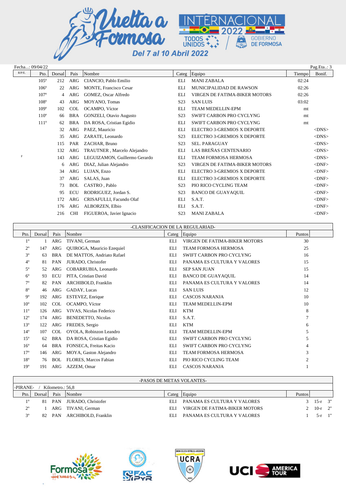

|             | Fecha: 09/04/22 |        |            |                                |                  |                                    |        | Pag.Eta.: 3 |
|-------------|-----------------|--------|------------|--------------------------------|------------------|------------------------------------|--------|-------------|
| $R/P/E$ .   | Pto.            | Dorsal | Pais       | Nombre                         |                  | Categ Equipo                       | Tiempo | Bonif.      |
|             | $105^\circ$     | 212    | ARG        | CIANCIO, Pablo Emilio          | <b>ELI</b>       | <b>MANI ZABALA</b>                 | 02:24  |             |
|             | $106^\circ$     | 22     | <b>ARG</b> | <b>MONTE, Francisco Cesar</b>  | <b>ELI</b>       | MUNICIPALIDAD DE RAWSON            | 02:26  |             |
|             | $107^\circ$     | 4      | <b>ARG</b> | GOMEZ, Oscar Alfredo           | <b>ELI</b>       | VIRGEN DE FATIMA-BIKER MOTORS      | 02:26  |             |
|             | $108^\circ$     | 43     | <b>ARG</b> | MOYANO, Tomas                  | S <sub>2</sub> 3 | <b>SAN LUIS</b>                    | 03:02  |             |
|             | $109^\circ$     | 102    | <b>COL</b> | OCAMPO, Víctor                 | <b>ELI</b>       | <b>TEAM MEDELLIN-EPM</b>           | mt     |             |
|             | $110^{\circ}$   | 66     | <b>BRA</b> | <b>GONZELI, Otavio Augusto</b> | S <sub>2</sub> 3 | SWIFT CARBON PRO CYCLYNG           | mt     |             |
|             | $111^\circ$     | 62     | <b>BRA</b> | DA ROSA, Cristian Egidio       | <b>ELI</b>       | SWIFT CARBON PRO CYCLYNG           | mt     |             |
|             |                 | 32     | <b>ARG</b> | PAEZ, Mauricio                 | <b>ELI</b>       | <b>ELECTRO 3-GREMIOS X DEPORTE</b> |        | $<$ DNS $>$ |
|             |                 | 35     | ARG        | ZARATE, Leonardo               | S <sub>2</sub> 3 | ELECTRO 3-GREMIOS X DEPORTE        |        | $<$ DNS $>$ |
|             |                 | 115    | <b>PAR</b> | ZACHAR, Bruno                  | S <sub>2</sub> 3 | <b>SEL. PARAGUAY</b>               |        | $<$ DNS $>$ |
|             |                 | 132    | <b>ARG</b> | TRAUTNER, Marcelo Alejandro    | <b>ELI</b>       | LAS BREÑAS CENTENARIO              |        | $<$ DNS $>$ |
| $\mathbf F$ |                 | 143    | ARG        | LEGUIZAMON, Guillermo Gerardo  | <b>ELI</b>       | <b>TEAM FORMOSA HERMOSA</b>        |        | $<$ DNS $>$ |
|             |                 | 6      | <b>ARG</b> | DIAZ, Julian Alejandro         | S <sub>2</sub> 3 | VIRGEN DE FATIMA-BIKER MOTORS      |        | $<$ DNF $>$ |
|             |                 | 34     | ARG        | LUJAN, Enzo                    | <b>ELI</b>       | <b>ELECTRO 3-GREMIOS X DEPORTE</b> |        | $<$ DNF $>$ |
|             |                 | 37     | <b>ARG</b> | SALAS, Juan                    | <b>ELI</b>       | <b>ELECTRO 3-GREMIOS X DEPORTE</b> |        | $<$ DNF $>$ |
|             |                 | 73     | <b>BOL</b> | CASTRO, Pablo                  | S <sub>2</sub> 3 | PIO RICO CYCLING TEAM              |        | $<$ DNF $>$ |
|             |                 | 95     | <b>ECU</b> | RODRIGUEZ, Jordan S.           | S <sub>2</sub> 3 | <b>BANCO DE GUAYAQUIL</b>          |        | $<$ DNF $>$ |
|             |                 | 172    | <b>ARG</b> | CRISAFULLI, Facundo Olaf       | <b>ELI</b>       | S.A.T.                             |        | $<$ DNF $>$ |
|             |                 | 176    | <b>ARG</b> | ALBORZEN, Elbio                | <b>ELI</b>       | S.A.T.                             |        | $<$ DNF $>$ |
|             |                 | 216    | <b>CHI</b> | FIGUEROA, Javier Ignacio       | S <sub>2</sub> 3 | <b>MANI ZABALA</b>                 |        | $<$ DNF $>$ |

|                 | -CLASIFICACION DE LA REGULARIAD- |            |                            |            |                                 |        |  |  |  |  |
|-----------------|----------------------------------|------------|----------------------------|------------|---------------------------------|--------|--|--|--|--|
| Pto.            | Dorsal                           | Pais       | Nombre                     |            | Categ Equipo                    | Puntos |  |  |  |  |
| $1^{\circ}$     |                                  | ARG        | TIVANI, German             | EL J       | VIRGEN DE FATIMA-BIKER MOTORS   | 30     |  |  |  |  |
| $2^{\circ}$     | 147                              | ARG        | QUIROGA, Mauricio Ezequiel | ELI        | TEAM FORMOSA HERMOSA            | 25     |  |  |  |  |
| $3^{\circ}$     | 63                               | <b>BRA</b> | DE MATTOS, Andriato Rafael | ELI        | SWIFT CARBON PRO CYCLYNG        | 16     |  |  |  |  |
| $4^{\circ}$     | 81                               | PAN        | JURADO, Christofer         | ELI        | PANAMA ES CULTURA Y VALORES     | 15     |  |  |  |  |
| $5^{\circ}$     | 52                               | ARG        | COBARRUBIA, Leonardo       | ELI        | <b>SEP SAN JUAN</b>             | 15     |  |  |  |  |
| $6^{\circ}$     | 93                               | ECU        | PITA, Cristian David       | ELI        | <b>BANCO DE GUAYAQUIL</b>       | 14     |  |  |  |  |
| $7^\circ$       | 82                               | PAN        | ARCHIBOLD, Franklin        | ELI        | PANAMA ES CULTURA Y VALORES     | 14     |  |  |  |  |
| $8^{\circ}$     | 46                               | ARG        | GADAY, Lucas               | ELI        | <b>SAN LUIS</b>                 | 12     |  |  |  |  |
| $9^{\circ}$     | 192                              | ARG        | ESTEVEZ, Enrique           | ELI        | <b>CASCOS NARANJA</b>           | 10     |  |  |  |  |
| 10 <sup>o</sup> | 102                              | COL        | OCAMPO, Víctor             | EL J       | <b>TEAM MEDELLIN-EPM</b>        | 10     |  |  |  |  |
| $11^{\circ}$    | 126                              | <b>ARG</b> | VIVAS, Nicolas Federico    | ELI        | <b>KTM</b>                      | 8      |  |  |  |  |
| $12^{\circ}$    | 174                              | ARG        | <b>BENEDETTO, Nicolas</b>  | ELI        | S.A.T.                          |        |  |  |  |  |
| $13^{\circ}$    | 122                              | ARG        | FREDES, Sergio             | ELI        | <b>KTM</b>                      | 6      |  |  |  |  |
| $14^{\circ}$    | 107                              | COL        | OYOLA, Robinzon Leandro    | EL J       | <b>TEAM MEDELLIN-EPM</b>        | 5      |  |  |  |  |
| $15^{\circ}$    | 62                               | <b>BRA</b> | DA ROSA, Cristian Egidio   | <b>ELI</b> | <b>SWIFT CARBON PRO CYCLYNG</b> | 5      |  |  |  |  |
| $16^{\circ}$    | 64                               | <b>BRA</b> | FONSECA, Freitas Kacio     | ELI        | <b>SWIFT CARBON PRO CYCLYNG</b> | 4      |  |  |  |  |
| 17 <sup>°</sup> | 146                              | ARG        | MOYA, Gaston Alejandro     | EL I       | <b>TEAM FORMOSA HERMOSA</b>     | 3      |  |  |  |  |
| $18^{\circ}$    | 76                               | <b>BOL</b> | FLORES, Marcos Fabian      | ELI        | PIO RICO CYCLING TEAM           |        |  |  |  |  |
| 19 <sup>°</sup> | 191                              | ARG        | AZZEM, Omar                | ELI        | <b>CASCOS NARANJA</b>           |        |  |  |  |  |

## -PASOS DE METAS VOLANTES-

| -PIRANE-<br>Kilometro.: 56,8 |        |      |                            |      |                               |        |                    |  |  |
|------------------------------|--------|------|----------------------------|------|-------------------------------|--------|--------------------|--|--|
| Pto.                         | Dorsal | Pais | Nombre                     |      | Categ Equipo                  | Puntos |                    |  |  |
|                              |        |      | 81 PAN JURADO, Christofer  | EL L | PANAMA ES CULTURA Y VALORES   |        | $3 \t 15-r \t 3$ " |  |  |
| $2^{\circ}$                  |        |      | ARG TIVANI, German         | EL I | VIRGEN DE FATIMA-BIKER MOTORS |        | 2 10- $r$ 2"       |  |  |
|                              |        |      | 82 PAN ARCHIBOLD, Franklin | EL I | PANAMA ES CULTURA Y VALORES   |        | $5-r$ 1"           |  |  |
|                              |        |      |                            |      |                               |        |                    |  |  |







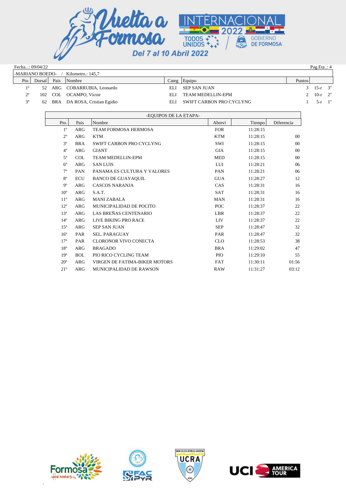

|                                      | Fecha: 09/04/22<br>Pag.Eta.: $4$ |         |                                 |                 |                          |        |           |          |  |  |
|--------------------------------------|----------------------------------|---------|---------------------------------|-----------------|--------------------------|--------|-----------|----------|--|--|
| -MARIANO BOEDO-<br>Kilometro.: 145,7 |                                  |         |                                 |                 |                          |        |           |          |  |  |
| Pto.                                 | Dorsal                           | Pais    | Nombre                          | $\text{Cate}$ g | Equipo                   | Puntos |           |          |  |  |
| 10                                   |                                  |         | 52 ARG COBARRUBIA, Leonardo     | EL J            | <b>SEP SAN JUAN</b>      |        | $15-r$ 3" |          |  |  |
| $2^{\circ}$                          |                                  | 102 COL | OCAMPO, Víctor                  | EL J            | <b>TEAM MEDELLIN-EPM</b> |        | 10-r $2"$ |          |  |  |
| 3 <sup>o</sup>                       |                                  |         | 62 BRA DA ROSA, Cristian Egidio | EL J            | SWIFT CARBON PRO CYCLYNG |        |           | $5-r$ 1" |  |  |

|                 |            | -EQUIPOS DE LA ETAPA-         |            |          |                |
|-----------------|------------|-------------------------------|------------|----------|----------------|
| Pto.            | Pais       | Nombre                        | Abrevi     | Tiempo   | Diferencia     |
| $1^{\circ}$     | <b>ARG</b> | <b>TEAM FORMOSA HERMOSA</b>   | <b>FOR</b> | 11:28:15 |                |
| $2^{\circ}$     | <b>ARG</b> | <b>KTM</b>                    | <b>KTM</b> | 11:28:15 | 00             |
| 3 <sup>o</sup>  | <b>BRA</b> | SWIFT CARBON PRO CYCLYNG      | SWI        | 11:28:15 | 00             |
| $4^{\circ}$     | <b>ARG</b> | <b>GIANT</b>                  | <b>GIA</b> | 11:28:15 | 0 <sub>0</sub> |
| $5^{\circ}$     | <b>COL</b> | <b>TEAM MEDELLIN-EPM</b>      | <b>MED</b> | 11:28:15 | 00             |
| $6^{\circ}$     | <b>ARG</b> | <b>SAN LUIS</b>               | LUI        | 11:28:21 | 06             |
| $7^{\circ}$     | PAN        | PANAMA ES CULTURA Y VALORES   | PAN        | 11:28:21 | 06             |
| $8^{\circ}$     | <b>ECU</b> | <b>BANCO DE GUAYAQUIL</b>     | <b>GUA</b> | 11:28:27 | 12             |
| $9^{\circ}$     | <b>ARG</b> | <b>CASCOS NARANJA</b>         | CAS        | 11:28:31 | 16             |
| 10 <sup>o</sup> | <b>ARG</b> | S.A.T.                        | <b>SAT</b> | 11:28:31 | 16             |
| $11^{\circ}$    | <b>ARG</b> | <b>MANI ZABALA</b>            | <b>MAN</b> | 11:28:31 | 16             |
| $12^{\circ}$    | <b>ARG</b> | MUNICIPALIDAD DE POCITO       | POC        | 11:28:37 | 22             |
| 13 <sup>°</sup> | <b>ARG</b> | LAS BREÑAS CENTENARIO         | <b>LBR</b> | 11:28:37 | 22             |
| $14^{\circ}$    | <b>ARG</b> | LIVE BIKING PRO RACE          | <b>LIV</b> | 11:28:37 | 22             |
| $15^{\circ}$    | <b>ARG</b> | <b>SEP SAN JUAN</b>           | <b>SEP</b> | 11:28:47 | 32             |
| $16^{\circ}$    | PAR        | <b>SEL. PARAGUAY</b>          | <b>PAR</b> | 11:28:47 | 32             |
| $17^{\circ}$    | PAR        | <b>CLORONOR VIVO CONECTA</b>  | <b>CLO</b> | 11:28:53 | 38             |
| $18^{\circ}$    | <b>ARG</b> | <b>BRAGADO</b>                | <b>BRA</b> | 11:29:02 | 47             |
| 19 <sup>o</sup> | <b>BOL</b> | PIO RICO CYCLING TEAM         | <b>PIO</b> | 11:29:10 | 55             |
| $20^{\circ}$    | <b>ARG</b> | VIRGEN DE FATIMA-BIKER MOTORS | <b>FAT</b> | 11:30:11 | 01:56          |
| $21^{\circ}$    | <b>ARG</b> | MUNICIPALIDAD DE RAWSON       | RAW        | 11:31:27 | 03:12          |



×,





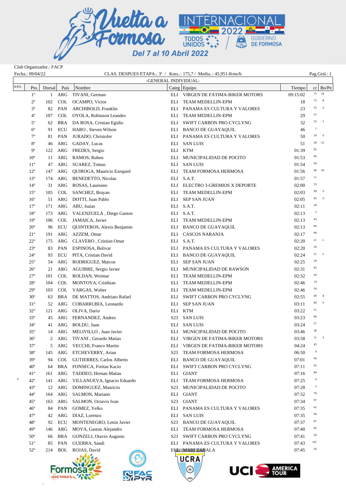

Club Organizador.: FACP

×

| Fecha.: 09/04/22 |                 |        |            | CLAS. DESPUES ETAPA.: 3 <sup>a</sup> / Kms: 175,7 / Media: 45,951-Kms/h |                      | Pag.Gral.: 1                      |          |                 |
|------------------|-----------------|--------|------------|-------------------------------------------------------------------------|----------------------|-----------------------------------|----------|-----------------|
|                  |                 |        |            |                                                                         | -GENERAL INDIVIDUAL- |                                   |          |                 |
| $\rm R/P/E.$     | Pto.            | Dorsal | Pais       | Nombre                                                                  |                      | Categ Equipo                      | Tiempo   | $cc \mid Bo/Pe$ |
|                  | $1^{\circ}$     |        | 1 ARG      | TIVANI, German                                                          |                      | ELI VIRGEN DE FATIMA-BIKER MOTORS | 09:15:02 | 75<br>$-24$     |
|                  | $2^{\circ}$     | 102    | <b>COL</b> | OCAMPO, Víctor                                                          |                      | ELI TEAM MEDELLIN-EPM             | 18       | $-8$<br>72      |
|                  | $3^{\circ}$     | 82     | PAN        | ARCHIBOLD, Franklin                                                     |                      | ELI PANAMA ES CULTURA Y VALORES   | 23       | $-3$<br>33      |
|                  | $4^{\circ}$     | 107    | COL        | OYOLA, Robinzon Leandro                                                 |                      | ELI TEAM MEDELLIN-EPM             | 29       | 51              |
|                  | $5^{\circ}$     | 62     |            | BRA DA ROSA, Cristian Egidio                                            |                      | ELI SWIFT CARBON PRO CYCLYNG      | 32       | 32<br>$-1$      |
|                  | $6^{\circ}$     | 91     | <b>ECU</b> | HARO, Steven Wilson                                                     |                      | ELI BANCO DE GUAYAQUIL            | 46       | 1               |
|                  | $7^{\circ}$     | 81     | PAN        | JURADO, Christofer                                                      |                      | ELI PANAMA ES CULTURA Y VALORES   | 50       | $-3$<br>54      |
|                  | $8^{\circ}$     | 46     | ARG        | GADAY, Lucas                                                            |                      | ELI SAN LUIS                      | 51       | $-12$<br>28     |
|                  | $9^{\circ}$     | 122    | ARG        | FREDES, Sergio                                                          |                      | ELI KTM                           | 01:39    | 95              |
|                  | 10 <sup>o</sup> | 11     | ARG        | RAMOS, Ruben                                                            |                      | ELI MUNICIPALIDAD DE POCITO       | 01:53    | 96              |
|                  | $11^{\circ}$    | 47     | ARG        | SUAREZ, Tomas                                                           |                      | ELI SAN LUIS                      | 01:54    | 94              |
|                  | $12^{\circ}$    | 147    | ARG        | QUIROGA, Mauricio Ezequiel                                              |                      | ELI TEAM FORMOSA HERMOSA          | 01:56    | $46 - 10$       |
|                  | $13^{\circ}$    | 174    | ARG        | <b>BENEDETTO, Nicolas</b>                                               |                      | ELI S.A.T.                        | 01:57    | 11              |
|                  | $14^{\circ}$    | 31     | ARG        | ROSAS, Laureano                                                         |                      | ELI ELECTRO 3-GREMIOS X DEPORTE   | 02:00    | 53              |
|                  | $15^{\circ}$    | 105    | <b>COL</b> | SANCHEZ, Brayan                                                         |                      | ELI TEAM MEDELLIN-EPM             | 02:03    | $-5$<br>99      |
|                  | $16^{\circ}$    | 51     | ARG        | DOTTI, Juan Pablo                                                       |                      | ELI SEP SAN JUAN                  | 02:05    | $-3$<br>83      |
|                  | $17^{\circ}$    | 171    | ARG        | ABU, Isaias                                                             |                      | ELI S.A.T.                        | 02:11    | 28              |
|                  | $18^{\circ}$    | 173    | ARG        | VALENZUELA, Diego Gaston                                                |                      | ELI S.A.T.                        | 02:13    | 5               |
|                  | $19^{\circ}$    | 106    | <b>COL</b> | JAMAICA, Javier                                                         |                      | ELI TEAM MEDELLIN-EPM             |          | 43              |
|                  | $20^{\circ}$    |        | <b>ECU</b> | QUINTEROS, Alexis Benjamin                                              |                      |                                   | 02:13    | 66              |
|                  |                 | 96     |            |                                                                         | ELI                  | BANCO DE GUAYAQUIL                | 02:13    | 99              |
|                  | $21^{\circ}$    | 191    | ARG        | AZZEM, Omar                                                             |                      | ELI CASCOS NARANJA                | 02:17    | 21<br>$^{-1}$   |
|                  | $22^{\circ}$    | 175    | ARG        | CLAVERO, Cristian Omar                                                  |                      | ELI S.A.T.                        | 02:20    | 56              |
|                  | $23^{\circ}$    | 83     | PAN        | ESPINOSA, Bolivar                                                       |                      | ELI PANAMA ES CULTURA Y VALORES   | 02:20    | 21<br>$^{-1}$   |
|                  | $24^{\circ}$    | 93     | <b>ECU</b> | PITA, Cristian David                                                    |                      | ELI BANCO DE GUAYAQUIL            | 02:24    |                 |
|                  | $25^{\circ}$    | 54     | ARG        | RODRIGUEZ, Marcos                                                       |                      | ELI SEP SAN JUAN                  | 02:25    | 39              |
|                  | $26^{\circ}$    | 21     | ARG        | AGUIRRE, Sergio Javier                                                  |                      | ELI MUNICIPALIDAD DE RAWSON       | 02:31    | 93              |
|                  | $27^{\circ}$    | 101    | COL        | ROLDAN, Weimar                                                          | ELI                  | TEAM MEDELLIN-EPM                 | 02:32    | 30              |
|                  | $28^{\circ}$    | 104    | COL        | MONTOYA, Cristhian                                                      |                      | ELI TEAM MEDELLIN-EPM             | 02:46    | 14              |
|                  | $29^\circ$      | 103    |            | COL VARGAS, Walter                                                      |                      | ELI TEAM MEDELLIN-EPM             | 02:46    | 54              |
|                  | $30^{\circ}$    | 63     | <b>BRA</b> | DE MATTOS, Andriato Rafael                                              |                      | ELI SWIFT CARBON PRO CYCLYNG      | 02:55    | 40<br>$-4$      |
|                  | $31^{\circ}$    | 52     | ARG        | COBARRUBIA, Leonardo                                                    |                      | ELI SEP SAN JUAN                  | 03:11    | $-5$<br>84      |
|                  | $32^{\circ}$    | 121    | ARG        | OLIVA, Dario                                                            |                      | ELI KTM                           | 03:22    | 51              |
|                  | $33^{\circ}$    | 45     | ARG        | FERNANDEZ, Andres                                                       |                      | S23 SAN LUIS                      | 03:23    | 99              |
|                  | $34^\circ$      | 41     |            | ARG BOLDU, Juan                                                         |                      | ELI SAN LUIS                      | 03:24    | 27              |
|                  | $35^{\circ}$    |        |            | 14 ARG MELIVILLO, Juan Javier                                           |                      | ELI MUNICIPALIDAD DE POCITO       | 03:46    | 38              |
|                  | $36^{\circ}$    | 2      | ARG        | TIVANI, Gerardo Matias                                                  |                      | ELI VIRGEN DE FATIMA-BIKER MOTORS | 03:58    | $11 - -2$       |
|                  | $37^{\circ}$    | 5      | ARG        | VECCHI, Franco Martin                                                   | ELI                  | VIRGEN DE FATIMA-BIKER MOTORS     | 04:24    | 43              |
|                  | $38^{\circ}$    | 145    | ARG        | ETCHEVERRY, Arian                                                       | S <sub>2</sub> 3     | TEAM FORMOSA HERMOSA              | 06:50    | $\overline{4}$  |
|                  | $39^\circ$      | 94     | COL.       | <b>GUTIERRES, Carlos Alberto</b>                                        | ELI                  | <b>BANCO DE GUAYAQUIL</b>         | 07:01    | 94              |
|                  | $40^{\circ}$    | 64     | <b>BRA</b> | FONSECA, Freitas Kacio                                                  | ELI                  | SWIFT CARBON PRO CYCLYNG          | 07:11    | 93              |
|                  | $41^{\circ}$    | 161    | ARG        | TADDEO, Hernan Matias                                                   | ELI                  | GIANT                             | 07:16    | 84              |
| F                | $42^{\circ}$    | 141    | ARG        | VILLANUEVA, Ignacio Eduardo                                             | ELI                  | TEAM FORMOSA HERMOSA              | 07:25    | $\overline{4}$  |
|                  | $43^\circ$      | 12     | ARG        | DOMINGUEZ, Mauricio                                                     | S <sub>2</sub> 3     | MUNICIPALIDAD DE POCITO           | 07:28    | 3               |
|                  | $44^{\circ}$    | 164    | ARG        | SALMON, Mariano                                                         | ELI                  | GIANT                             | 07:32    | 78              |
|                  | $45^{\circ}$    | 163    | ARG        | SALMON, Octavio Ivan                                                    | S <sub>2</sub> 3     | GIANT                             | 07:34    | 97              |
|                  | $46^{\circ}$    | 84     | PAN        | GOMEZ, Yelko                                                            | ELI                  | PANAMA ES CULTURA Y VALORES       | 07:35    | 65              |
|                  | $47^\circ$      | 42     | ARG        | DIAZ, Lorenzo                                                           | ELI                  | <b>SAN LUIS</b>                   | 07:35    | 99              |
|                  | $48^{\circ}$    | 92     | <b>ECU</b> | MONTENEGRO, Lenin Javier                                                | S <sub>2</sub> 3     | <b>BANCO DE GUAYAQUIL</b>         | 07:37    | 87              |
|                  | $49^\circ$      | 146    | ARG        | MOYA, Gaston Alejandro                                                  | ELI                  | <b>TEAM FORMOSA HERMOSA</b>       | 07:40    | 85              |
|                  | $50^{\circ}$    | 66     | BRA        | GONZELI, Otavio Augusto                                                 | S23                  | SWIFT CARBON PRO CYCLYNG          | 07:41    | 29              |
|                  | $51^{\circ}$    | 85     | PAN        | GUERRA, Sandi                                                           |                      | ELI PANAMA ES CULTURA Y VALORES   | 07:43    | 197             |
|                  | $52^{\circ}$    | 214    | <b>BOL</b> | ROJAS, David                                                            |                      | ELI SOMANI ZABALA                 | 07:45    | 20              |
|                  |                 |        |            |                                                                         |                      |                                   |          |                 |
|                  |                 |        |            |                                                                         |                      | UCRA                              |          |                 |
|                  |                 |        |            |                                                                         |                      | <b>UCI</b> AMERICA<br>Ж           |          |                 |
|                  |                 |        |            |                                                                         |                      |                                   |          |                 |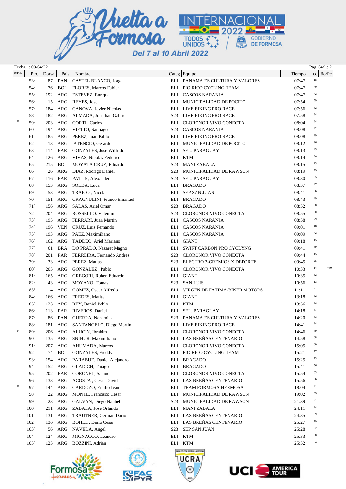

|             | Fecha: 09/04/22 |        |            |                                            |                  |                                                   |        | Pag.Gral.: 2 |
|-------------|-----------------|--------|------------|--------------------------------------------|------------------|---------------------------------------------------|--------|--------------|
| $R/P/E$ .   | Pto.            | Dorsal | Pais       | Nombre                                     |                  | Categ Equipo                                      | Tiempo | Bo/Pe<br>cc  |
|             | $53^\circ$      | 87     | PAN        | CASTEL BLANCO, Jorge                       |                  | ELI PANAMA ES CULTURA Y VALORES                   | 07:47  | 18           |
|             | $54^\circ$      | 76     | <b>BOL</b> | FLORES, Marcos Fabian                      | ELI              | PIO RICO CYCLING TEAM                             | 07:47  | 70           |
|             | $55^{\circ}$    | 192    | ARG        | ESTEVEZ, Enrique                           | ELI              | <b>CASCOS NARANJA</b>                             | 07:47  | 72           |
|             | $56^{\circ}$    | 15     | ARG        | REYES, Jose                                | ELI              | MUNICIPALIDAD DE POCITO                           | 07:54  | 59           |
|             | $57^\circ$      | 184    | ARG        | CANOVA, Javier Nicolas                     | ELI              | LIVE BIKING PRO RACE                              | 07:56  | 82           |
|             | $58^{\rm o}$    | 182    | <b>ARG</b> | ALMADA, Jonathan Gabriel                   | S <sub>23</sub>  | LIVE BIKING PRO RACE                              | 07:58  | 34           |
| $\mathbf F$ | 59°             | 203    | ARG        | CORTI, Carlos                              | ELI              | CLORONOR VIVO CONECTA                             | 08:04  | 84           |
|             | $60^{\circ}$    | 194    | ARG        | VIETTO, Santiago                           | S <sub>23</sub>  | <b>CASCOS NARANJA</b>                             | 08:08  | 42           |
|             | $61^\circ$      | 185    | <b>ARG</b> | PEREZ, Juan Pablo                          | ELI              | LIVE BIKING PRO RACE                              | 08:08  | 99           |
|             | $62^{\circ}$    | 13     | <b>ARG</b> | ATENCIO, Gerardo                           | ELI              | MUNICIPALIDAD DE POCITO                           | 08:12  | 96           |
|             | $63^\circ$      | 114    | PAR        | GONZALES, Jose Wilfrido                    | ELI              | SEL. PARAGUAY                                     | 08:13  | 45           |
|             | $64^\circ$      | 126    | ARG        | VIVAS, Nicolas Federico                    | ELI              | <b>KTM</b>                                        | 08:14  | 24           |
|             | $65^{\circ}$    | 215    | <b>BOL</b> | MOYATA CRUZ, Eduardo                       | S <sub>23</sub>  | <b>MANI ZABALA</b>                                | 08:15  | 23           |
|             | $66^{\circ}$    | 26     | ARG        | DIAZ, Rodrigo Daniel                       | S <sub>23</sub>  | MUNICIPALIDAD DE RAWSON                           | 08:19  | 73           |
|             | $67^\circ$      | 116    | PAR        | PATIJN, Alexander                          | S <sub>23</sub>  | SEL. PARAGUAY                                     | 08:30  | 65           |
|             | $68^{\circ}$    | 153    | ARG        | SOLDA, Luca                                | ELI              | <b>BRAGADO</b>                                    | 08:37  | 47           |
|             | $69^\circ$      | 53     | <b>ARG</b> | TRAICO, Nicolas                            | ELI              | <b>SEP SAN JUAN</b>                               | 08:41  | 6            |
|             | $70^{\circ}$    | 151    | ARG        | <b>CRAGNULINI, Franco Emanuel</b>          | ELI              | <b>BRAGADO</b>                                    | 08:43  | 49           |
|             | $71^{\circ}$    | 156    | ARG        | SALAS, Ariel Omar                          | S <sub>23</sub>  | <b>BRAGADO</b>                                    | 08:52  | 68           |
|             | $72^{\circ}$    | 204    | ARG        | ROSSELLO, Valentín                         | S <sub>2</sub> 3 | CLORONOR VIVO CONECTA                             | 08:55  | 80           |
|             | $73^{\circ}$    | 195    | ARG        | FERRARI, Juan Martin                       | ELI              | <b>CASCOS NARANJA</b>                             | 08:58  | 79           |
|             | $74^{\circ}$    | 196    | <b>VEN</b> | CRUZ, Luis Fernando                        | ELI              | <b>CASCOS NARANJA</b>                             | 09:01  | $\rm 48$     |
|             | $75^{\circ}$    | 193    | ARG        | PAEZ, Maximiliano                          | ELI              | <b>CASCOS NARANJA</b>                             | 09:09  | 72           |
|             | $76^{\circ}$    | 162    | <b>ARG</b> | TADDEO, Ariel Mariano                      | ELI              | <b>GIANT</b>                                      | 09:18  | 15           |
|             | $77^{\circ}$    | 61     | <b>BRA</b> | DO PRADO, Nazaret Magno                    | ELI              | SWIFT CARBON PRO CYCLYNG                          | 09:41  | 69           |
|             | $78^{\circ}$    | 201    | PAR        |                                            | S <sub>2</sub> 3 | CLORONOR VIVO CONECTA                             | 09:44  | 15           |
|             | $79^{\circ}$    |        | ARG        | FERREIRA, Fernando Andres<br>PEREZ, Matías | S <sub>23</sub>  | ELECTRO 3-GREMIOS X DEPORTE                       |        | 25           |
|             |                 | 33     |            |                                            |                  |                                                   | 09:45  | $+30$<br>14  |
|             | $80^{\circ}$    | 205    | ARG        | GONZALEZ, Pablo                            | ELI              | CLORONOR VIVO CONECTA                             | 10:33  | 32           |
|             | $81^{\circ}$    | 165    | ARG        | GREGORI, Ruben Eduardo                     | ELI              | <b>GIANT</b>                                      | 10:35  | 13           |
|             | $82^{\circ}$    | 43     | ARG        | MOYANO, Tomas                              | S <sub>23</sub>  | <b>SAN LUIS</b>                                   | 10:56  | 41           |
|             | $83^\circ$      | 4      | ARG        | GOMEZ, Oscar Alfredo                       | ELI              | VIRGEN DE FATIMA-BIKER MOTORS                     | 11:11  | 52           |
|             | $84^{\circ}$    | 166    | ARG        | FREDES, Matias                             | ELI              | <b>GIANT</b>                                      | 13:18  | 33           |
|             | $85^{\circ}$    | 123    | ARG        | REY, Daniel Pablo                          | ELI              | <b>KTM</b>                                        | 13:56  | 87           |
|             | $86^{\circ}$    | 113    | PAR        | RIVEROS, Daniel                            | ELI              | SEL. PARAGUAY                                     | 14:18  | 63           |
|             | 87°             | 86     | PAN        | GUERRA, Nehemias                           | S <sub>23</sub>  | PANAMA ES CULTURA Y VALORES                       | 14:20  | 94           |
| $\mathbf F$ | $88^{\circ}$    | 181    |            | ARG SANTANGELO, Diego Martin               |                  | ELI LIVE BIKING PRO RACE                          | 14:41  | 49           |
|             | 89°             | 206    | ARG        | ALUCIN, Ibrahim                            | ELI              | CLORONOR VIVO CONECTA                             | 14:46  | 68           |
|             | $90^{\circ}$    | 135    | ARG        | SNIHUR, Maximiliano                        | ELI              | LAS BREÑAS CENTENARIO                             | 14:58  | 60           |
|             | $91^\circ$      | 207    | ARG        | AHUMADA, Marcos                            | ELI              | CLORONOR VIVO CONECTA                             | 15:05  | 77           |
|             | $92^{\circ}$    | 74     | <b>BOL</b> | GONZALES, Freddy                           | ELI              | PIO RICO CYCLING TEAM                             | 15:21  |              |
|             | $93^\circ$      | 154    | ARG        | PARABUE, Daniel Alejandro                  | ELI              | <b>BRAGADO</b>                                    | 15:25  | 73           |
|             | $94^\circ$      | 152    | ARG        | GLADICH, Thiago                            | ELI              | <b>BRAGADO</b>                                    | 15:41  | 56           |
|             | $95^\circ$      | 202    | PAR        | CORONEL, Samuel                            | ELI              | CLORONOR VIVO CONECTA                             | 15:54  | 63           |
|             | $96^{\circ}$    | 133    | ARG        | ACOSTA, Cesar David                        | ELI              | LAS BREÑAS CENTENARIO                             | 15:56  | 36           |
| F           | $97^\circ$      | 144    | ARG        | CARDOZO, Emilio Ivan                       | ELI              | TEAM FORMOSA HERMOSA                              | 18:04  | 41           |
|             | 98°             | 22     | ARG        | <b>MONTE, Francisco Cesar</b>              | ELI              | MUNICIPALIDAD DE RAWSON                           | 19:02  | 95           |
|             | 99°             | 23     | ARG        | GALVAN, Diego Nauhel                       | S <sub>2</sub> 3 | MUNICIPALIDAD DE RAWSON                           | 21:39  | 21           |
|             | $100^{\circ}$   | 211    | ARG        | ZABALA, Jose Orlando                       | ELI              | <b>MANI ZABALA</b>                                | 24:11  | 94           |
|             | $101^{\circ}$   | 131    | <b>ARG</b> | TRAUTNER, German Dario                     | ELI              | LAS BREÑAS CENTENARIO                             | 24:35  | 69           |
|             | $102^{\circ}$   | 136    | ARG        | <b>BOHLE</b> , Dario Cesar                 | ELI              | LAS BREÑAS CENTENARIO                             | 25:27  | 79           |
|             | $103^\circ$     | 56     | ARG        | NAVEDA, Angel                              | S <sub>2</sub> 3 | <b>SEP SAN JUAN</b>                               | 25:28  | 92           |
|             | $104^{\circ}$   | 124    | <b>ARG</b> | MIGNACCO, Leandro                          | ELI              | <b>KTM</b>                                        | 25:33  | 58           |
|             | $105^\circ$     | 125    | ARG        | BOZZINI, Adrian                            | ELI              | <b>KTM</b>                                        | 25:52  | 84           |
|             |                 |        |            |                                            |                  | INION CICLISTA REPÚBLICA ARGENTINA<br><b>UCRA</b> |        |              |



×



 $_{\odot}$ 

**UCIS** 

**AMERICA**<br>TOUR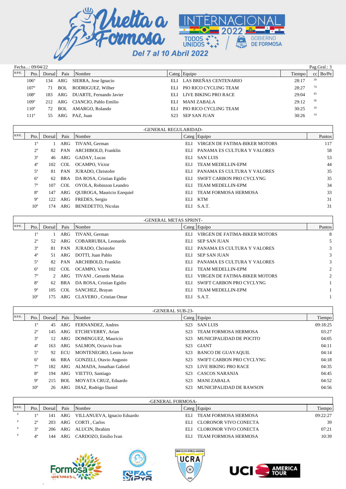

| Fecha: 09/04/22 |               |        | Pag.Gral.: $3$ |                         |      |                              |        |    |                    |
|-----------------|---------------|--------|----------------|-------------------------|------|------------------------------|--------|----|--------------------|
| $R/P/E$ .       | Pto.          | Dorsal | Pais           | Nombre                  |      | Categ Equipo                 | Tiempo |    | $ {\rm co} $ Bo/Pe |
|                 | $106^\circ$   | l 34   | ARG            | SIERRA, Jose Ignacio    |      | ELI LAS BREÑAS CENTENARIO    | 28:17  | 39 |                    |
|                 | $107^{\circ}$ | 71     | BOL.           | RODRIGUEZ, Wilber       | EL I | PIO RICO CYCLING TEAM        | 28:27  | 74 |                    |
|                 | $108^\circ$   | 183    | ARG            | DUARTE, Fernando Javier |      | ELI LIVE BIKING PRO RACE     | 29:04  | 45 |                    |
|                 | $109^\circ$   | 212.   | ARG            | CIANCIO, Pablo Emilio   | EL J | MANI ZABALA                  | 29:12  | 36 |                    |
|                 | $110^{\circ}$ | 72     | BOL.           | AMARGO, Rolando         | EL I | <b>PIO RICO CYCLING TEAM</b> | 30:25  | 10 |                    |
|                 | $111^{\circ}$ |        | ARG            | PAZ. Juan               | S23  | <b>SEP SAN JUAN</b>          | 30:26  | 14 |                    |
|                 |               |        |                |                         |      |                              |        |    |                    |

|           | -GENERAL REGULARIDAD- |        |         |                                   |      |                               |        |  |  |  |  |
|-----------|-----------------------|--------|---------|-----------------------------------|------|-------------------------------|--------|--|--|--|--|
| $R/P/E$ . | Pto.                  | Dorsal | Pais    | Nombre                            |      | Categ Equipo                  | Puntos |  |  |  |  |
|           | $1^{\circ}$           |        | 1 ARG   | TIVANI, German                    | ELI  | VIRGEN DE FATIMA-BIKER MOTORS | 117    |  |  |  |  |
|           | $2^{\circ}$           | 82     | PAN     | ARCHIBOLD, Franklin               | ELI  | PANAMA ES CULTURA Y VALORES   | 58     |  |  |  |  |
|           | $3^{\circ}$           | 46     | ARG     | GADAY, Lucas                      | ELI  | SAN LUIS                      | 53     |  |  |  |  |
|           | $4^{\circ}$           |        | 102 COL | OCAMPO, Víctor                    | ELI  | TEAM MEDELLIN-EPM             | 44     |  |  |  |  |
|           | $5^{\circ}$           | 81     | PAN     | JURADO, Christofer                | ELI. | PANAMA ES CULTURA Y VALORES   | 35     |  |  |  |  |
|           | $6^{\circ}$           | 62     |         | BRA DA ROSA, Cristian Egidio      | ELI  | SWIFT CARBON PRO CYCLYNG      | 35     |  |  |  |  |
|           | $7^\circ$             | 107    | COL     | OYOLA, Robinzon Leandro           | EL I | <b>TEAM MEDELLIN-EPM</b>      | 34     |  |  |  |  |
|           | $8^{\circ}$           | 147    | ARG     | <b>OUIROGA, Mauricio Ezequiel</b> | ELI  | TEAM FORMOSA HERMOSA          | 33     |  |  |  |  |
|           | $9^{\circ}$           | 122    | ARG     | FREDES, Sergio                    | ELI  | KTM                           | 31     |  |  |  |  |
|           | $10^{\circ}$          | 74     | ARG     | <b>BENEDETTO, Nicolas</b>         |      | ELI S.A.T.                    | 31     |  |  |  |  |
|           |                       |        |         |                                   |      |                               |        |  |  |  |  |

|           | -GENERAL METAS SPRINT- |          |         |                          |      |                               |                |  |  |  |  |  |
|-----------|------------------------|----------|---------|--------------------------|------|-------------------------------|----------------|--|--|--|--|--|
| $R/P/E$ . | Pto.                   | Dorsal l | Pais    | Nombre                   |      | $\text{Categ}$ Equipo         | Puntos         |  |  |  |  |  |
|           | $1^{\circ}$            |          | ARG     | TIVANI, German           | ELI  | VIRGEN DE FATIMA-BIKER MOTORS | 8              |  |  |  |  |  |
|           | $2^{\circ}$            | 52       | ARG     | COBARRUBIA, Leonardo     | ELI  | <b>SEP SAN JUAN</b>           |                |  |  |  |  |  |
|           | $3^{\circ}$            | 81       | PAN     | JURADO, Christofer       | ELI  | PANAMA ES CULTURA Y VALORES   | 3              |  |  |  |  |  |
|           | $4^{\circ}$            | 51       | ARG     | DOTTI, Juan Pablo        | ELI  | <b>SEP SAN JUAN</b>           | 3              |  |  |  |  |  |
|           | $5^{\circ}$            | 82       | PAN     | ARCHIBOLD, Franklin      | ELI  | PANAMA ES CULTURA Y VALORES   | 3              |  |  |  |  |  |
|           | $6^{\circ}$            |          | 102 COL | OCAMPO, Víctor           | ELI  | <b>TEAM MEDELLIN-EPM</b>      | $\overline{c}$ |  |  |  |  |  |
|           | $7^\circ$              |          | 2 ARG   | TIVANI, Gerardo Matias   | ELI  | VIRGEN DE FATIMA-BIKER MOTORS | $\overline{2}$ |  |  |  |  |  |
|           | $8^{\circ}$            | 62       | BRA     | DA ROSA, Cristian Egidio | ELI  | SWIFT CARBON PRO CYCLYNG      |                |  |  |  |  |  |
|           | $9^{\circ}$            | 105      | COL     | SANCHEZ, Brayan          | ELI  | <b>TEAM MEDELLIN-EPM</b>      |                |  |  |  |  |  |
|           | 10 <sup>o</sup>        | .75      | ARG     | CLAVERO, Cristian Omar   | EL I | <b>S.A.T.</b>                 |                |  |  |  |  |  |

|           | -GENERAL SUB-23- |        |      |                                |                  |                             |          |  |  |  |  |  |
|-----------|------------------|--------|------|--------------------------------|------------------|-----------------------------|----------|--|--|--|--|--|
| $R/P/E$ . | Pto.             | Dorsal | Pais | Nombre                         |                  | Categ Equipo                | Tiempo   |  |  |  |  |  |
|           | $1^{\circ}$      | 45     | ARG  | FERNANDEZ, Andres              | S <sub>23</sub>  | <b>SAN LUIS</b>             | 09:18:25 |  |  |  |  |  |
|           | $2^{\circ}$      | 145    | ARG  | ETCHEVERRY, Arian              | S <sub>23</sub>  | <b>TEAM FORMOSA HERMOSA</b> | 03:27    |  |  |  |  |  |
|           | $3^{\circ}$      | 12     | ARG  | DOMINGUEZ, Mauricio            | S <sub>2</sub> 3 | MUNICIPALIDAD DE POCITO     | 04:05    |  |  |  |  |  |
|           | $4^{\circ}$      | 163    | ARG  | SALMON, Octavio Ivan           | S <sub>2</sub> 3 | GIANT                       | 04:11    |  |  |  |  |  |
|           | $5^{\circ}$      | 92     | ECU  | MONTENEGRO, Lenin Javier       | S23.             | <b>BANCO DE GUAYAQUIL</b>   | 04:14    |  |  |  |  |  |
|           | $6^{\circ}$      | 66     | BRA  | <b>GONZELI, Otavio Augusto</b> | S23              | SWIFT CARBON PRO CYCLYNG    | 04:18    |  |  |  |  |  |
|           | $7^{\circ}$      | 182.   | ARG  | ALMADA, Jonathan Gabriel       | S23              | <b>LIVE BIKING PRO RACE</b> | 04:35    |  |  |  |  |  |
|           | $8^{\circ}$      | 194    | ARG  | VIETTO, Santiago               | S <sub>23</sub>  | CASCOS NARANJA              | 04:45    |  |  |  |  |  |
|           | $9^{\circ}$      | 215    | BOL  | MOYATA CRUZ, Eduardo           | S <sub>2</sub> 3 | <b>MANI ZABALA</b>          | 04:52    |  |  |  |  |  |
|           | $10^{\circ}$     | 26     | ARG  | DIAZ, Rodrigo Daniel           | S23              | MUNICIPALIDAD DE RAWSON     | 04:56    |  |  |  |  |  |

|           | -GENERAL FORMOSA- |        |      |                                 |      |                       |          |  |  |  |
|-----------|-------------------|--------|------|---------------------------------|------|-----------------------|----------|--|--|--|
| $R/P/E$ . |                   |        |      |                                 |      |                       |          |  |  |  |
|           | Pto.              | Dorsal | Pais | Nombre                          |      | Categ Equipo          | Tiempo   |  |  |  |
|           | 10                | 141    |      | ARG VILLANUEVA, Ignacio Eduardo | EL I | TEAM FORMOSA HERMOSA  | 09:22:27 |  |  |  |
|           | $2^{\circ}$       | 203    |      | ARG CORTI, Carlos               | EL I | CLORONOR VIVO CONECTA | 39       |  |  |  |
|           | 20                | 206    |      | ARG ALUCIN, Ibrahim             | EL I | CLORONOR VIVO CONECTA | 07:21    |  |  |  |
|           | $4^{\circ}$       | 144    |      | ARG CARDOZO, Emilio Ivan        | EL I | TEAM FORMOSA HERMOSA  | 10:39    |  |  |  |







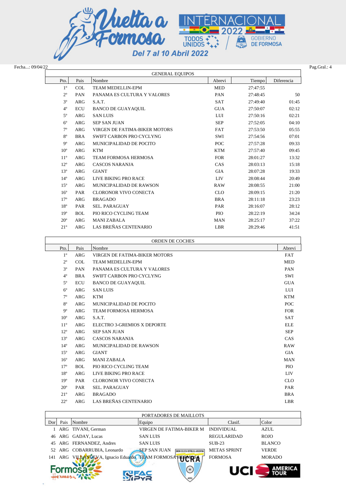

| Fecha: 09/04/22 |
|-----------------|
|                 |

|                        |      |                             |            |          |            | Pag.Gral.: 4 |  |  |  |
|------------------------|------|-----------------------------|------------|----------|------------|--------------|--|--|--|
| <b>GENERAL EQUIPOS</b> |      |                             |            |          |            |              |  |  |  |
| Pto.                   | Pais | Nombre                      | Abrevi     | Tiempo   | Diferencia |              |  |  |  |
| 10                     | COL. | <b>TEAM MEDELLIN-EPM</b>    | <b>MED</b> | 27:47:55 |            |              |  |  |  |
| $2^{\circ}$            | PAN  | PANAMA ES CULTURA Y VALORES | PAN        | 27:48:45 | 50         |              |  |  |  |
| 3°                     | ARG  | S.A.T.                      | <b>SAT</b> | 27:49:40 | 01:45      |              |  |  |  |
| $4^{\circ}$            | ECU  | BANCO DE GUAYAQUIL          | <b>GUA</b> | 27:50:07 | 02:12      |              |  |  |  |
|                        |      | Fecha: 09/04/22             |            |          |            |              |  |  |  |

| $1^{\circ}$    | <b>COL</b> | <b>TEAM MEDELLIN-EPM</b>      | <b>MED</b> | 27:47:55 |       |
|----------------|------------|-------------------------------|------------|----------|-------|
| $2^{\circ}$    | PAN        | PANAMA ES CULTURA Y VALORES   | PAN        | 27:48:45 | 50    |
| 3 <sup>o</sup> | ARG        | S.A.T.                        | <b>SAT</b> | 27:49:40 | 01:45 |
| $4^{\circ}$    | <b>ECU</b> | <b>BANCO DE GUAYAQUIL</b>     | <b>GUA</b> | 27:50:07 | 02:12 |
| $5^{\circ}$    | ARG        | <b>SAN LUIS</b>               | LUI        | 27:50:16 | 02:21 |
| $6^{\circ}$    | <b>ARG</b> | <b>SEP SAN JUAN</b>           | <b>SEP</b> | 27:52:05 | 04:10 |
| $7^{\circ}$    | ARG        | VIRGEN DE FATIMA-BIKER MOTORS | <b>FAT</b> | 27:53:50 | 05:55 |
| $8^{\circ}$    | <b>BRA</b> | SWIFT CARBON PRO CYCLYNG      | SWI        | 27:54:56 | 07:01 |
| $9^{\circ}$    | ARG        | MUNICIPALIDAD DE POCITO       | POC        | 27:57:28 | 09:33 |
| $10^{\circ}$   | <b>ARG</b> | <b>KTM</b>                    | <b>KTM</b> | 27:57:40 | 09:45 |
| $11^{\circ}$   | ARG        | <b>TEAM FORMOSA HERMOSA</b>   | <b>FOR</b> | 28:01:27 | 13:32 |
| $12^{\circ}$   | ARG        | CASCOS NARANJA                | CAS        | 28:03:13 | 15:18 |
| $13^{\circ}$   | ARG        | <b>GIANT</b>                  | <b>GIA</b> | 28:07:28 | 19:33 |
| $14^{\circ}$   | ARG        | LIVE BIKING PRO RACE          | <b>LIV</b> | 28:08:44 | 20:49 |
| $15^{\circ}$   | ARG        | MUNICIPALIDAD DE RAWSON       | <b>RAW</b> | 28:08:55 | 21:00 |
| $16^{\circ}$   | PAR        | <b>CLORONOR VIVO CONECTA</b>  | <b>CLO</b> | 28:09:15 | 21:20 |
| $17^{\circ}$   | <b>ARG</b> | <b>BRAGADO</b>                | <b>BRA</b> | 28:11:18 | 23:23 |
| $18^{\circ}$   | <b>PAR</b> | <b>SEL. PARAGUAY</b>          | <b>PAR</b> | 28:16:07 | 28:12 |
| $19^{\circ}$   | <b>BOL</b> | PIO RICO CYCLING TEAM         | <b>PIO</b> | 28:22:19 | 34:24 |
| $20^{\circ}$   | <b>ARG</b> | <b>MANI ZABALA</b>            | <b>MAN</b> | 28:25:17 | 37:22 |
| $21^{\circ}$   | ARG        | LAS BREÑAS CENTENARIO         | LBR        | 28:29:46 | 41:51 |

|                 | <b>ORDEN DE COCHES</b>                  |                               |            |  |  |  |  |  |
|-----------------|-----------------------------------------|-------------------------------|------------|--|--|--|--|--|
| Pto.            | Pais                                    | Nombre                        | Abrevi     |  |  |  |  |  |
| $1^{\circ}$     | <b>ARG</b>                              | VIRGEN DE FATIMA-BIKER MOTORS | <b>FAT</b> |  |  |  |  |  |
| $2^{\circ}$     | <b>COL</b>                              | TEAM MEDELLIN-EPM             | <b>MED</b> |  |  |  |  |  |
| 3 <sup>o</sup>  | PAN<br>PANAMA ES CULTURA Y VALORES      |                               |            |  |  |  |  |  |
| $4^{\circ}$     | SWIFT CARBON PRO CYCLYNG<br><b>BRA</b>  |                               |            |  |  |  |  |  |
| $5^{\circ}$     | <b>ECU</b><br><b>BANCO DE GUAYAQUIL</b> |                               |            |  |  |  |  |  |
| $6^{\circ}$     | <b>ARG</b><br><b>SAN LUIS</b>           |                               |            |  |  |  |  |  |
| $7^{\circ}$     | <b>ARG</b>                              | <b>KTM</b>                    | <b>KTM</b> |  |  |  |  |  |
| $8^{\circ}$     | <b>ARG</b>                              | MUNICIPALIDAD DE POCITO       | <b>POC</b> |  |  |  |  |  |
| $9^{\circ}$     | <b>ARG</b>                              | TEAM FORMOSA HERMOSA          | <b>FOR</b> |  |  |  |  |  |
| 10 <sup>o</sup> | <b>ARG</b>                              | S.A.T.                        | <b>SAT</b> |  |  |  |  |  |
| $11^{\circ}$    | <b>ARG</b>                              | ELECTRO 3-GREMIOS X DEPORTE   | <b>ELE</b> |  |  |  |  |  |
| $12^{\circ}$    | <b>ARG</b>                              | <b>SEP SAN JUAN</b>           |            |  |  |  |  |  |
| $13^{\circ}$    | <b>ARG</b>                              | <b>CASCOS NARANJA</b>         | CAS        |  |  |  |  |  |
| $14^{\circ}$    | <b>ARG</b>                              | MUNICIPALIDAD DE RAWSON       | <b>RAW</b> |  |  |  |  |  |
| $15^{\circ}$    | <b>ARG</b>                              | <b>GIANT</b>                  | <b>GIA</b> |  |  |  |  |  |
| $16^{\circ}$    | <b>ARG</b>                              | <b>MANI ZABALA</b>            | <b>MAN</b> |  |  |  |  |  |
| $17^{\circ}$    | <b>BOL</b>                              | PIO RICO CYCLING TEAM         | PIO        |  |  |  |  |  |
| $18^{\circ}$    | <b>ARG</b>                              | LIVE BIKING PRO RACE          | <b>LIV</b> |  |  |  |  |  |
| 19 <sup>o</sup> | PAR                                     | <b>CLORONOR VIVO CONECTA</b>  | <b>CLO</b> |  |  |  |  |  |
| $20^{\circ}$    | PAR                                     | <b>SEL. PARAGUAY</b>          | PAR        |  |  |  |  |  |
| $21^{\circ}$    | <b>ARG</b>                              | <b>BRAGADO</b>                | <b>BRA</b> |  |  |  |  |  |
| $22^{\circ}$    | <b>ARG</b>                              | LAS BREÑAS CENTENARIO         | <b>LBR</b> |  |  |  |  |  |

|     | PORTADORES DE MAILLOTS |                                                           |                                                    |                     |               |  |  |  |  |  |  |
|-----|------------------------|-----------------------------------------------------------|----------------------------------------------------|---------------------|---------------|--|--|--|--|--|--|
| Dor | Pais                   | Nombre                                                    | Equipo                                             | Clasif.             | Color         |  |  |  |  |  |  |
|     |                        | 1 ARG TIVANI, German                                      | VIRGEN DE FATIMA-BIKER M                           | <b>INDIVIDUAL</b>   | AZUL          |  |  |  |  |  |  |
|     |                        | 46 ARG GADAY, Lucas                                       | <b>SAN LUIS</b>                                    | REGULARIDAD         | <b>ROJO</b>   |  |  |  |  |  |  |
|     |                        | 45 ARG FERNANDEZ, Andres                                  | <b>SAN LUIS</b>                                    | $SIJB-23$           | <b>BLANCO</b> |  |  |  |  |  |  |
|     |                        | 52 ARG COBARRUBIA, Leonardo                               | <b>SEP SAN JUAN</b><br>YELISTA REPÚBLICA ARGENTINA | <b>METAS SPRINT</b> | <b>VERDE</b>  |  |  |  |  |  |  |
|     |                        | 141 ARG VILLANUEVA, Ignacio Eduardo TEAM FORMOSA HERMICSA |                                                    | <b>FORMOSA</b>      | <b>MORADO</b> |  |  |  |  |  |  |
| ARG |                        |                                                           |                                                    |                     |               |  |  |  |  |  |  |